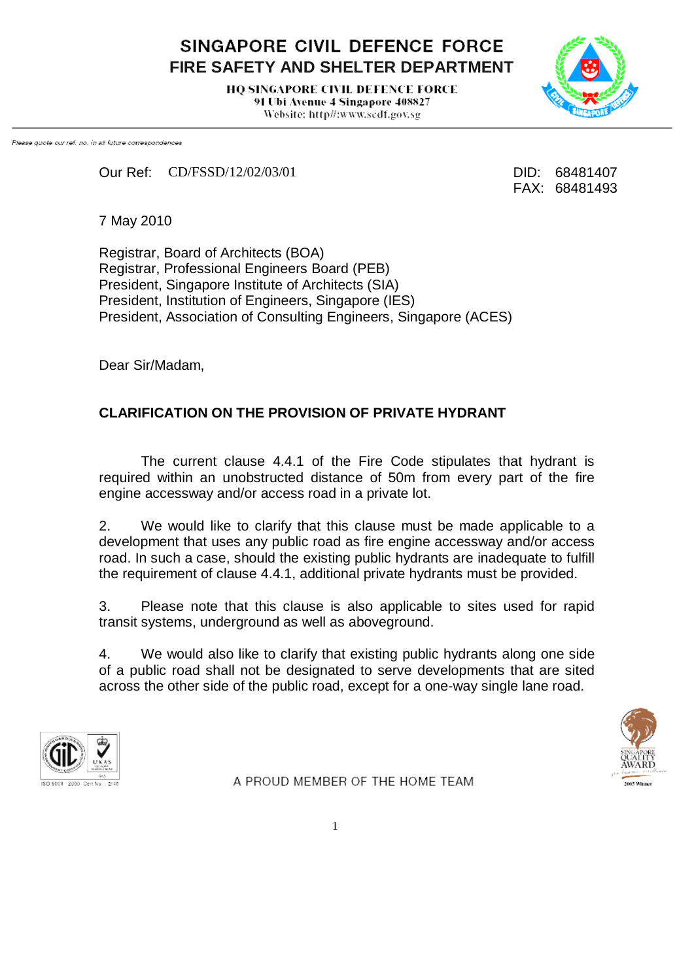SINGAPORE CIVIL DEFENCE FORCE **FIRE SAFETY AND SHELTER DEPARTMENT**

> **HO SINGAPORE CIVIL DEFENCE FORCE** 91 Ubi Avenue 4 Singapore 408827 Website: http//:www.scdf.gov.sg



Please quote our ref. no. in all future correspondences

Our Ref: CD/FSSD/12/02/03/01 DID: 68481407

FAX: 68481493

7 May 2010

Registrar, Board of Architects (BOA) Registrar, Professional Engineers Board (PEB) President, Singapore Institute of Architects (SIA) President, Institution of Engineers, Singapore (IES) President, Association of Consulting Engineers, Singapore (ACES)

Dear Sir/Madam,

## **CLARIFICATION ON THE PROVISION OF PRIVATE HYDRANT**

The current clause 4.4.1 of the Fire Code stipulates that hydrant is required within an unobstructed distance of 50m from every part of the fire engine accessway and/or access road in a private lot.

2. We would like to clarify that this clause must be made applicable to a development that uses any public road as fire engine accessway and/or access road. In such a case, should the existing public hydrants are inadequate to fulfill the requirement of clause 4.4.1, additional private hydrants must be provided.

3. Please note that this clause is also applicable to sites used for rapid transit systems, underground as well as aboveground.

4. We would also like to clarify that existing public hydrants along one side of a public road shall not be designated to serve developments that are sited across the other side of the public road, except for a one-way single lane road.





A PROUD MEMBER OF THE HOME TEAM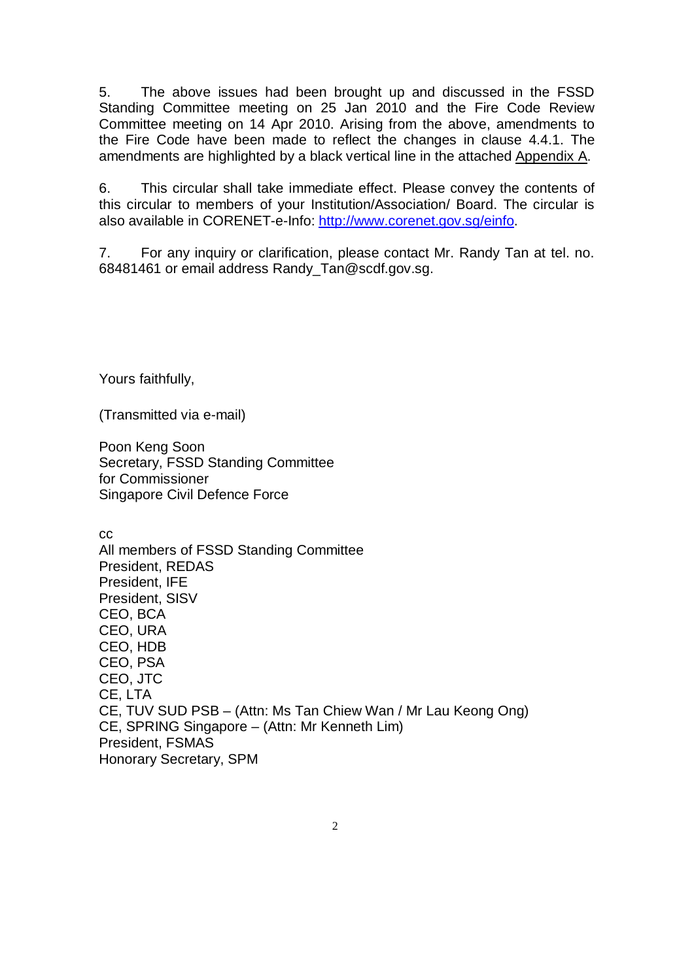5. The above issues had been brought up and discussed in the FSSD Standing Committee meeting on 25 Jan 2010 and the Fire Code Review Committee meeting on 14 Apr 2010. Arising from the above, amendments to the Fire Code have been made to reflect the changes in clause 4.4.1. The amendments are highlighted by a black vertical line in the attached Appendix A.

6. This circular shall take immediate effect. Please convey the contents of this circular to members of your Institution/Association/ Board. The circular is also available in CORENET-e-Info: [http://www.corenet.gov.sg/einfo.](http://www.corenet.gov.sg/einfo)

7. For any inquiry or clarification, please contact Mr. Randy Tan at tel. no. 68481461 or email address Randy\_Tan@scdf.gov.sg.

Yours faithfully,

(Transmitted via e-mail)

Poon Keng Soon Secretary, FSSD Standing Committee for Commissioner Singapore Civil Defence Force

cc All members of FSSD Standing Committee President, REDAS President, IFE President, SISV CEO, BCA CEO, URA CEO, HDB CEO, PSA CEO, JTC CE, LTA CE, TUV SUD PSB – (Attn: Ms Tan Chiew Wan / Mr Lau Keong Ong) CE, SPRING Singapore – (Attn: Mr Kenneth Lim) President, FSMAS Honorary Secretary, SPM